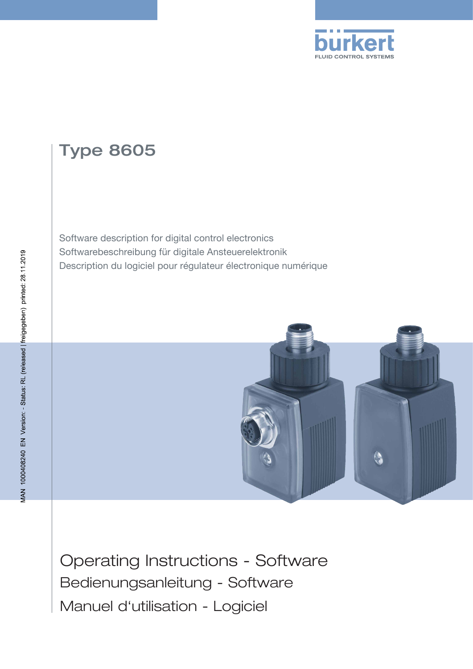

# Type 8605

Software description for digital control electronics Softwarebeschreibung für digitale Ansteuerelektronik Description du logiciel pour régulateur électronique numérique



Operating Instructions - Software Bedienungsanleitung - Software Manuel d'utilisation - Logiciel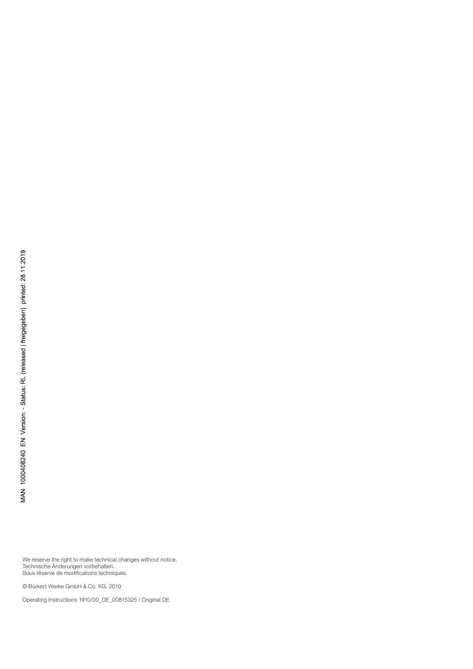We reserve the right to make technical changes without notice. Technische Änderungen vorbehalten. Sous réserve de modifications techniques.

© Bürkert Werke GmbH & Co. KG, 2019

Operating Instructions 1910/00\_DE\_00815325 / Original DE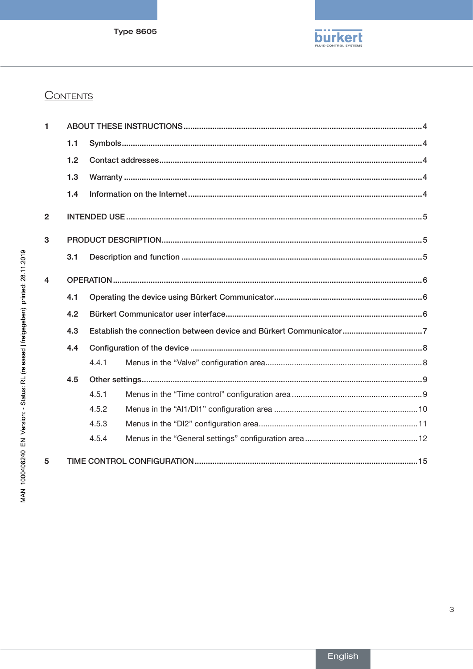

# CONTENTS

| $\blacksquare$ |     |       |  |  |
|----------------|-----|-------|--|--|
|                | 1.1 |       |  |  |
|                | 1.2 |       |  |  |
|                | 1.3 |       |  |  |
|                | 1.4 |       |  |  |
| $\mathbf{2}$   |     |       |  |  |
| 3              |     |       |  |  |
|                | 3.1 |       |  |  |
| 4              |     |       |  |  |
|                | 4.1 |       |  |  |
|                | 4.2 |       |  |  |
|                | 4.3 |       |  |  |
| 4.4            |     |       |  |  |
|                |     | 4.4.1 |  |  |
|                | 4.5 |       |  |  |
|                |     | 4.5.1 |  |  |
|                |     | 4.5.2 |  |  |
|                |     | 4.5.3 |  |  |
|                |     | 4.5.4 |  |  |
| 5              |     |       |  |  |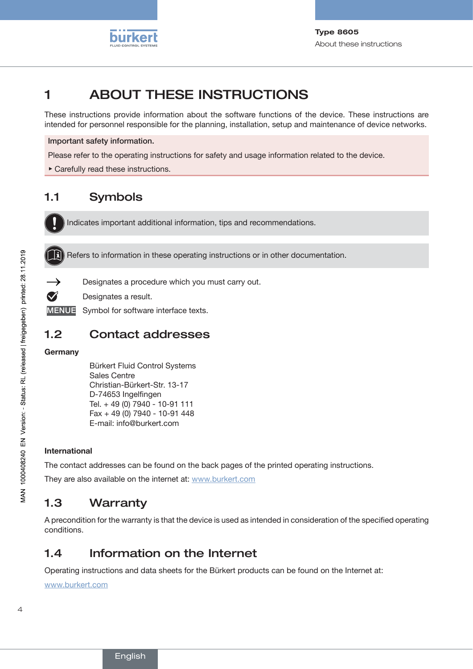

# <span id="page-3-0"></span>1 About these instructions

These instructions provide information about the software functions of the device. These instructions are intended for personnel responsible for the planning, installation, setup and maintenance of device networks.

#### Important safety information.

Please refer to the operating instructions for safety and usage information related to the device.

▶ Carefully read these instructions.

## 1.1 Symbols



Indicates important additional information, tips and recommendations.



Designates a procedure which you must carry out.

Designates a result.

MENUE Symbol for software interface texts.

## 1.2 Contact addresses

### **Germany**

Ø

Bürkert Fluid Control Systems Sales Centre Christian-Bürkert-Str. 13-17 D-74653 Ingelfingen Tel. + 49 (0) 7940 - 10-91 111 Fax + 49 (0) 7940 - 10-91 448 E-mail: info@burkert.com

### International

The contact addresses can be found on the back pages of the printed operating instructions.

They are also available on the internet at: [www.burkert.com](http://www.burkert.com)

## 1.3 Warranty

A precondition for the warranty is that the device is used as intended in consideration of the specified operating conditions.

## 1.4 Information on the Internet

Operating instructions and data sheets for the Bürkert products can be found on the Internet at:

[www.burkert.](http://www.buerkert.de/DEU/56.html)com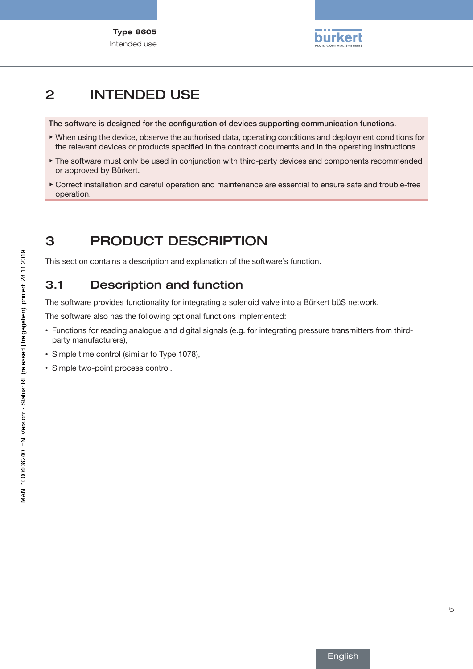

# <span id="page-4-0"></span>2 Intended use

The software is designed for the configuration of devices supporting communication functions.

- ▶ When using the device, observe the authorised data, operating conditions and deployment conditions for the relevant devices or products specified in the contract documents and in the operating instructions.
- ▶ The software must only be used in conjunction with third-party devices and components recommended or approved by Bürkert.
- ▶ Correct installation and careful operation and maintenance are essential to ensure safe and trouble-free operation.

# 3 Product description

This section contains a description and explanation of the software's function.

## 3.1 Description and function

The software provides functionality for integrating a solenoid valve into a Bürkert büS network.

The software also has the following optional functions implemented:

- Functions for reading analogue and digital signals (e.g. for integrating pressure transmitters from thirdparty manufacturers),
- Simple time control (similar to Type 1078),
- Simple two-point process control.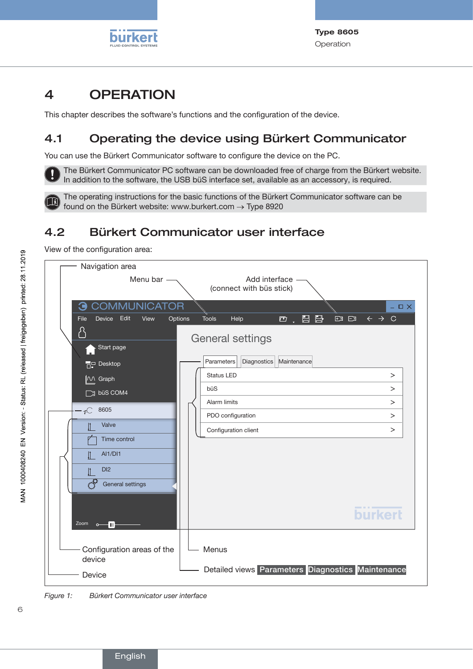

# <span id="page-5-0"></span>4 Operation

This chapter describes the software's functions and the configuration of the device.

## 4.1 Operating the device using Bürkert Communicator

You can use the Bürkert Communicator software to configure the device on the PC.

The Bürkert Communicator PC software can be downloaded free of charge from the Bürkert website. In addition to the software, the USB büS interface set, available as an accessory, is required.

The operating instructions for the basic functions of the Bürkert Communicator software can be Œ found on the Bürkert website: www.burkert.com  $\rightarrow$  Type 8920

# 4.2 Bürkert Communicator user interface

View of the configuration area:



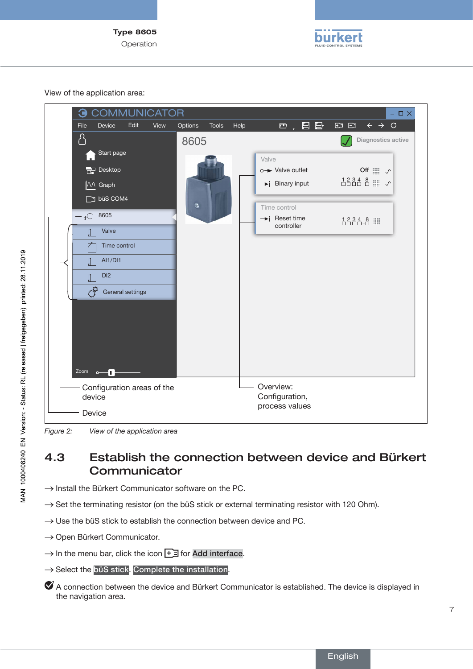**Operation** 



<span id="page-6-0"></span>View of the application area:



*Figure 2: View of the application area*

## 4.3 Establish the connection between device and Bürkert **Communicator**

- $\rightarrow$  Install the Bürkert Communicator software on the PC.
- $\rightarrow$  Set the terminating resistor (on the büS stick or external terminating resistor with 120 Ohm).
- $\rightarrow$  Use the büS stick to establish the connection between device and PC.
- → Open Bürkert Communicator.
- $\rightarrow$  In the menu bar, click the icon  $\boxed{+}$  or Add interface.
- $\rightarrow$  Select the büS stick. Complete the installation.
- A connection between the device and Bürkert Communicator is established. The device is displayed in the navigation area.

7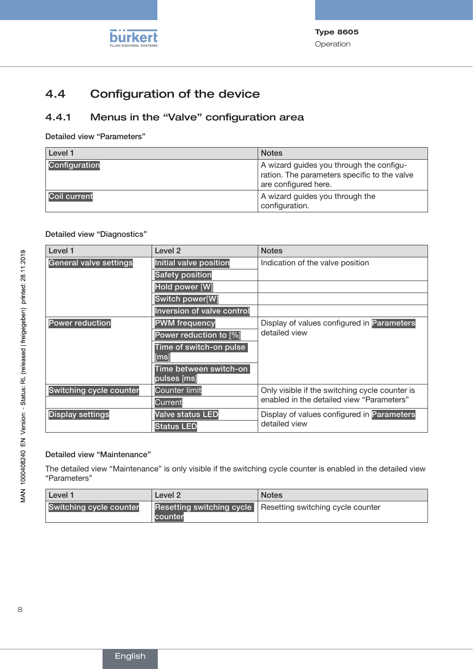

# <span id="page-7-0"></span>4.4 Configuration of the device

## 4.4.1 Menus in the "Valve" configuration area

Detailed view "Parameters"

| Level 1             | <b>Notes</b>                                                                                                     |
|---------------------|------------------------------------------------------------------------------------------------------------------|
| Configuration       | A wizard guides you through the configu-<br>ration. The parameters specific to the valve<br>are configured here. |
| <b>Coil current</b> | A wizard guides you through the<br>configuration.                                                                |

### Detailed view "Diagnostics"

| Level 1                       | Level 2                    | <b>Notes</b>                                      |  |
|-------------------------------|----------------------------|---------------------------------------------------|--|
| <b>General valve settings</b> | Initial valve position     | Indication of the valve position                  |  |
|                               | <b>Safety position</b>     |                                                   |  |
|                               | Hold power [W]             |                                                   |  |
|                               | Switch power[W]            |                                                   |  |
|                               | Inversion of valve control |                                                   |  |
| <b>Power reduction</b>        | <b>PWM</b> frequency       | Display of values configured in Parameters        |  |
|                               | Power reduction to [%]     | detailed view                                     |  |
|                               | Time of switch-on pulse    |                                                   |  |
|                               | lmsl                       |                                                   |  |
|                               | Time between switch-on     |                                                   |  |
|                               | pulses [ms]                |                                                   |  |
| Switching cycle counter       | <b>Counter limit</b>       | Only visible if the switching cycle counter is    |  |
|                               | <b>Current</b>             | enabled in the detailed view "Parameters"         |  |
| <b>Display settings</b>       | <b>Valve status LED</b>    | Display of values configured in <b>Parameters</b> |  |
|                               | <b>Status LED</b>          | detailed view                                     |  |

### Detailed view "Maintenance"

The detailed view "Maintenance" is only visible if the switching cycle counter is enabled in the detailed view "Parameters"

| Level 1                 | Level 2 | <b>Notes</b>                                                       |
|-------------------------|---------|--------------------------------------------------------------------|
| Switching cycle counter | counter | <b>Resetting switching cycle</b> Resetting switching cycle counter |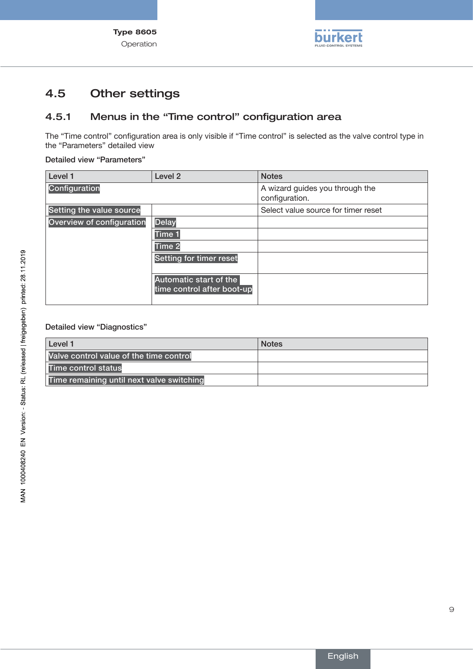

# <span id="page-8-0"></span>4.5 Other settings

## 4.5.1 Menus in the "Time control" configuration area

The "Time control" configuration area is only visible if "Time control" is selected as the valve control type in the "Parameters" detailed view

#### Detailed view "Parameters"

| Level 1                         | Level <sub>2</sub>                                   | <b>Notes</b>                                      |  |
|---------------------------------|------------------------------------------------------|---------------------------------------------------|--|
| Configuration                   |                                                      | A wizard guides you through the<br>configuration. |  |
| <b>Setting the value source</b> |                                                      | Select value source for timer reset               |  |
| Overview of configuration       | <b>Delay</b>                                         |                                                   |  |
|                                 | Time 1                                               |                                                   |  |
|                                 | Time <sub>2</sub>                                    |                                                   |  |
|                                 | <b>Setting for timer reset</b>                       |                                                   |  |
|                                 | Automatic start of the<br>time control after boot-up |                                                   |  |

### Detailed view "Diagnostics"

| Level 1                                   | <b>Notes</b> |
|-------------------------------------------|--------------|
| Valve control value of the time control   |              |
| Time control status                       |              |
| Time remaining until next valve switching |              |

9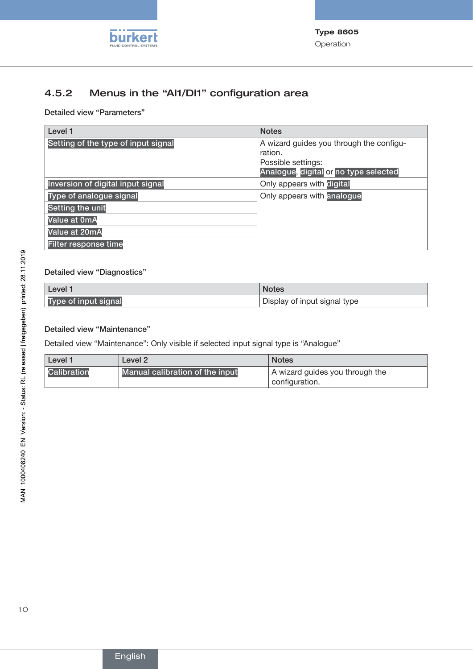

## <span id="page-9-0"></span>4.5.2 Menus in the "AI1/DI1" configuration area

Detailed view "Parameters"

| Level 1                             | <b>Notes</b>                             |
|-------------------------------------|------------------------------------------|
| Setting of the type of input signal | A wizard guides you through the configu- |
|                                     | ration.                                  |
|                                     | Possible settings:                       |
|                                     | Analogue, digital or no type selected    |
| Inversion of digital input signal   | Only appears with digital                |
| Type of analogue signal             | Only appears with analogue               |
| Setting the unit                    |                                          |
| Value at 0mA                        |                                          |
| Value at 20mA                       |                                          |
| Filter response time                |                                          |

## Detailed view "Diagnostics"

| Level 1              | <b>Notes</b>                 |
|----------------------|------------------------------|
| Type of input signal | Display of input signal type |

## Detailed view "Maintenance"

Detailed view "Maintenance": Only visible if selected input signal type is "Analogue"

| Level 1     | Level 2                         | <b>Notes</b>                                      |
|-------------|---------------------------------|---------------------------------------------------|
| Calibration | Manual calibration of the input | A wizard guides you through the<br>configuration. |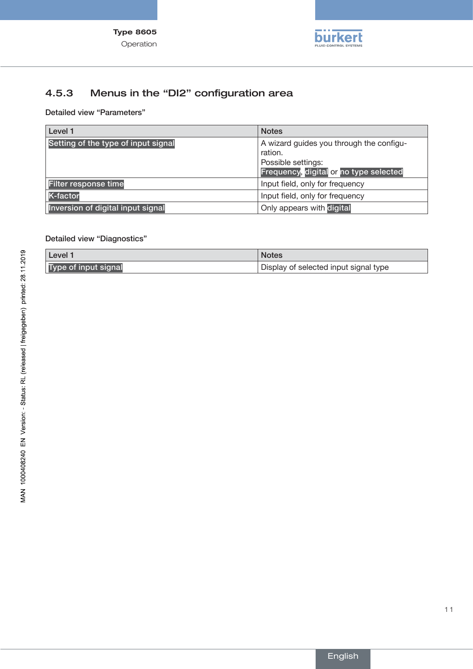

## <span id="page-10-0"></span>4.5.3 Menus in the "DI2" configuration area

Detailed view "Parameters"

| Level 1                             | <b>Notes</b>                                                                                                        |
|-------------------------------------|---------------------------------------------------------------------------------------------------------------------|
| Setting of the type of input signal | A wizard guides you through the configu-<br>ration.<br>Possible settings:<br>Frequency, digital or no type selected |
| Filter response time                | Input field, only for frequency                                                                                     |
| <b>K-factor</b>                     | Input field, only for frequency                                                                                     |
| Inversion of digital input signal   | Only appears with digital                                                                                           |

#### Detailed view "Diagnostics"

| . Level 1            | <b>Notes</b>                          |
|----------------------|---------------------------------------|
| Type of input signal | Display of selected input signal type |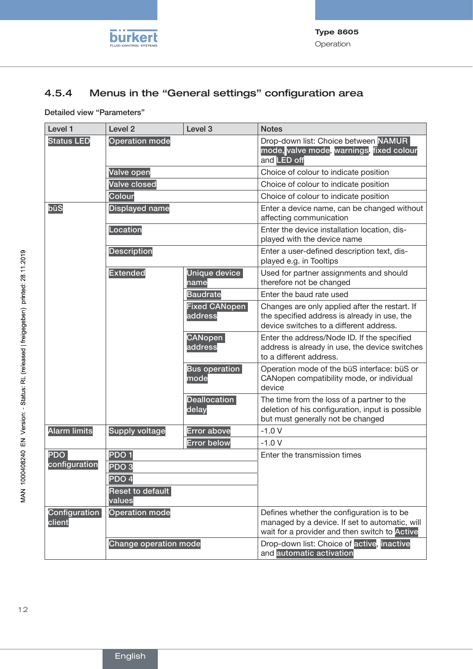

# <span id="page-11-0"></span>4.5.4 Menus in the "General settings" configuration area

### Detailed view "Parameters"

| Level 1                 | Level <sub>2</sub>         | Level <sub>3</sub>              | <b>Notes</b>                                                                                                                                  |
|-------------------------|----------------------------|---------------------------------|-----------------------------------------------------------------------------------------------------------------------------------------------|
| <b>Status LED</b>       | <b>Operation mode</b>      |                                 | Drop-down list: Choice between NAMUR<br>mode, valve mode, warnings, fixed colour<br>and LED off                                               |
|                         | Valve open                 |                                 | Choice of colour to indicate position                                                                                                         |
|                         | <b>Valve closed</b>        |                                 | Choice of colour to indicate position                                                                                                         |
|                         | Colour                     |                                 | Choice of colour to indicate position                                                                                                         |
| büS                     | <b>Displayed name</b>      |                                 | Enter a device name, can be changed without<br>affecting communication                                                                        |
|                         | Location                   |                                 | Enter the device installation location, dis-<br>played with the device name                                                                   |
|                         | <b>Description</b>         |                                 | Enter a user-defined description text, dis-<br>played e.g. in Tooltips                                                                        |
|                         | <b>Extended</b>            | Unique device<br>name           | Used for partner assignments and should<br>therefore not be changed                                                                           |
|                         |                            | <b>Baudrate</b>                 | Enter the baud rate used                                                                                                                      |
|                         |                            | <b>Fixed CANopen</b><br>address | Changes are only applied after the restart. If<br>the specified address is already in use, the<br>device switches to a different address.     |
|                         |                            | <b>CANopen</b><br>address       | Enter the address/Node ID. If the specified<br>address is already in use, the device switches<br>to a different address.                      |
|                         |                            | <b>Bus operation</b><br>mode    | Operation mode of the büS interface: büS or<br>CANopen compatibility mode, or individual<br>device                                            |
|                         |                            | <b>Deallocation</b><br>delay    | The time from the loss of a partner to the<br>deletion of his configuration, input is possible<br>but must generally not be changed           |
| <b>Alarm limits</b>     | <b>Supply voltage</b>      | <b>Error above</b>              | $-1.0V$                                                                                                                                       |
|                         |                            | <b>Error below</b>              | $-1.0V$                                                                                                                                       |
| <b>PDO</b>              | PDO <sub>1</sub>           |                                 | Enter the transmission times                                                                                                                  |
| configuration           | PDO <sub>3</sub>           |                                 |                                                                                                                                               |
|                         | PDO <sub>4</sub>           |                                 |                                                                                                                                               |
|                         | Reset to default<br>values |                                 |                                                                                                                                               |
| Configuration<br>client | <b>Operation mode</b>      |                                 | Defines whether the configuration is to be<br>managed by a device. If set to automatic, will<br>wait for a provider and then switch to Active |
|                         | Change operation mode      |                                 | Drop-down list: Choice of active, inactive<br>and automatic activation                                                                        |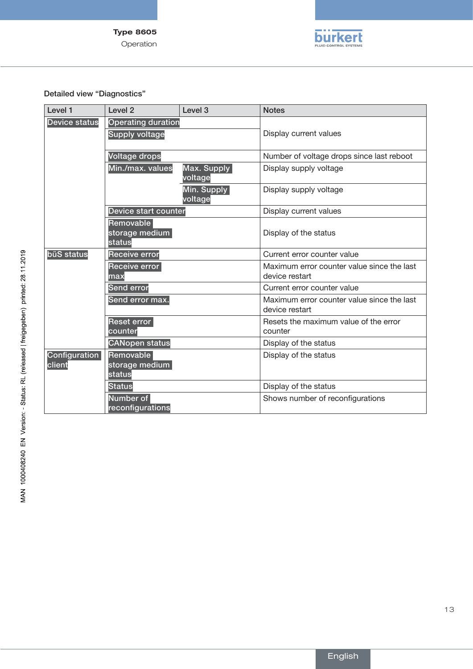Operation



Detailed view "Diagnostics"

| Level 1                                                          | Level 2                                            | Level <sub>3</sub>     | <b>Notes</b>                                                 |
|------------------------------------------------------------------|----------------------------------------------------|------------------------|--------------------------------------------------------------|
| <b>Device status</b>                                             | <b>Operating duration</b><br><b>Supply voltage</b> |                        | Display current values                                       |
|                                                                  | Voltage drops                                      |                        | Number of voltage drops since last reboot                    |
|                                                                  | Min./max. values                                   | Max. Supply<br>voltage | Display supply voltage                                       |
|                                                                  |                                                    | Min. Supply<br>voltage | Display supply voltage                                       |
|                                                                  | Device start counter                               |                        | Display current values                                       |
|                                                                  | Removable<br>storage medium<br>status              |                        | Display of the status                                        |
| büS status                                                       | <b>Receive error</b>                               |                        | Current error counter value                                  |
|                                                                  | <b>Receive error</b><br>max                        |                        | Maximum error counter value since the last<br>device restart |
|                                                                  | <b>Send error</b>                                  |                        | Current error counter value                                  |
|                                                                  | Send error max.                                    |                        | Maximum error counter value since the last<br>device restart |
|                                                                  | <b>Reset error</b><br>counter                      |                        | Resets the maximum value of the error<br>counter             |
|                                                                  | <b>CANopen status</b>                              |                        | Display of the status                                        |
| Configuration<br>Removable<br>client<br>storage medium<br>status |                                                    | Display of the status  |                                                              |
|                                                                  | <b>Status</b>                                      |                        | Display of the status                                        |
|                                                                  | Number of<br>reconfigurations                      |                        | Shows number of reconfigurations                             |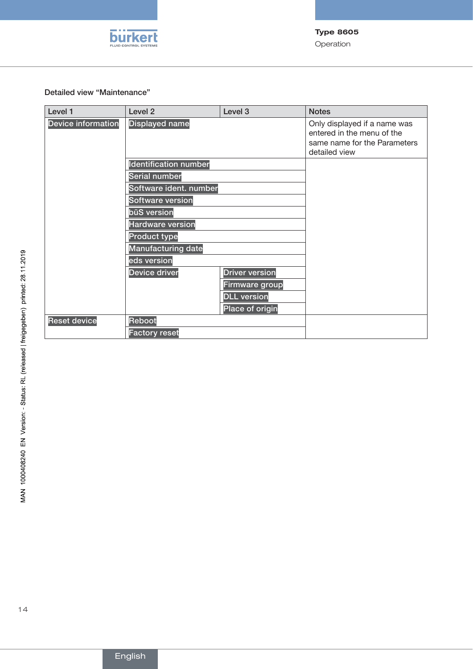

## Detailed view "Maintenance"

| Level 1                   | Level <sub>2</sub>           | Level 3               | <b>Notes</b>                                                                                                |
|---------------------------|------------------------------|-----------------------|-------------------------------------------------------------------------------------------------------------|
| <b>Device information</b> | <b>Displayed name</b>        |                       | Only displayed if a name was<br>entered in the menu of the<br>same name for the Parameters<br>detailed view |
|                           | <b>Identification number</b> |                       |                                                                                                             |
|                           | Serial number                |                       |                                                                                                             |
|                           | Software ident. number       |                       |                                                                                                             |
|                           | Software version             |                       |                                                                                                             |
|                           | büS version                  |                       |                                                                                                             |
|                           | <b>Hardware version</b>      |                       |                                                                                                             |
|                           | <b>Product type</b>          |                       |                                                                                                             |
|                           | <b>Manufacturing date</b>    |                       |                                                                                                             |
|                           | eds version                  |                       |                                                                                                             |
|                           | Device driver                | <b>Driver version</b> |                                                                                                             |
|                           |                              | <b>Firmware group</b> |                                                                                                             |
|                           |                              | <b>DLL</b> version    |                                                                                                             |
|                           |                              | Place of origin       |                                                                                                             |
| <b>Reset device</b>       | Reboot                       |                       |                                                                                                             |
|                           | <b>Factory reset</b>         |                       |                                                                                                             |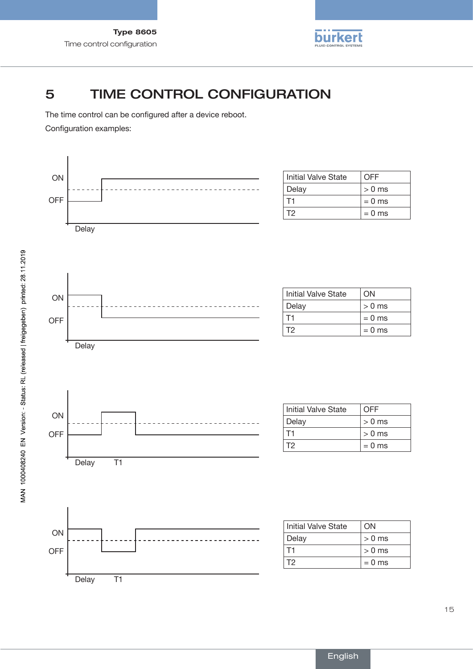

# <span id="page-14-0"></span>5 Time control configuration

The time control can be configured after a device reboot. Configuration examples:



15